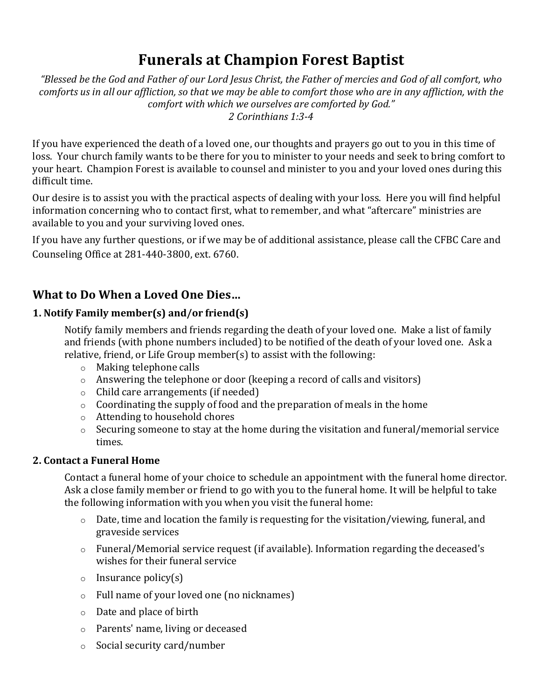# **Funerals at Champion Forest Baptist**

"Blessed be the God and Father of our Lord Jesus Christ, the Father of mercies and God of all comfort, who comforts us in all our affliction, so that we may be able to comfort those who are in any affliction, with the *comfort with which we ourselves are comforted by God." 2 Corinthians 1:3-4*

If you have experienced the death of a loved one, our thoughts and prayers go out to you in this time of loss. Your church family wants to be there for you to minister to your needs and seek to bring comfort to your heart. Champion Forest is available to counsel and minister to you and your loved ones during this difficult time. 

Our desire is to assist you with the practical aspects of dealing with your loss. Here you will find helpful information concerning who to contact first, what to remember, and what "aftercare" ministries are available to you and your surviving loved ones.

If you have any further questions, or if we may be of additional assistance, please call the CFBC Care and Counseling Office at 281-440-3800, ext. 6760. 

# **What to Do When a Loved One Dies…**

## **1. Notify Family member(s) and/or friend(s)**

Notify family members and friends regarding the death of your loved one. Make a list of family and friends (with phone numbers included) to be notified of the death of your loved one. Ask a relative, friend, or Life Group member(s) to assist with the following:

- o Making telephone calls
- o Answering the telephone or door (keeping a record of calls and visitors)
- o Child care arrangements (if needed)
- $\circ$  Coordinating the supply of food and the preparation of meals in the home
- o Attending to household chores
- o Securing someone to stay at the home during the visitation and funeral/memorial service times.

### **2. Contact a Funeral Home**

Contact a funeral home of your choice to schedule an appointment with the funeral home director. Ask a close family member or friend to go with you to the funeral home. It will be helpful to take the following information with you when you visit the funeral home:

- o Date, time and location the family is requesting for the visitation/viewing, funeral, and graveside services
- o Funeral/Memorial service request (if available). Information regarding the deceased's wishes for their funeral service
- $\circ$  Insurance policy(s)
- o Full name of your loved one (no nicknames)
- o Date and place of birth
- o Parents' name, living or deceased
- o Social security card/number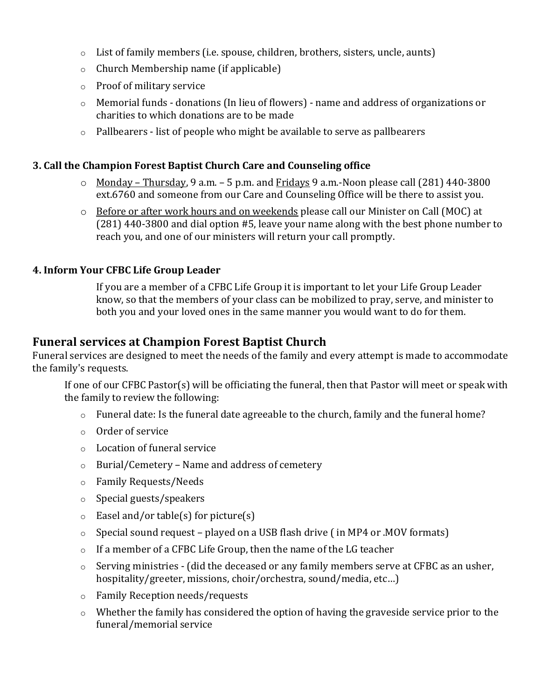- o List of family members (i.e. spouse, children, brothers, sisters, uncle, aunts)
- o Church Membership name (if applicable)
- o Proof of military service
- o Memorial funds donations (In lieu of flowers) name and address of organizations or charities to which donations are to be made
- o Pallbearers list of people who might be available to serve as pallbearers

### **3. Call the Champion Forest Baptist Church Care and Counseling office**

- o Monday Thursday, 9 a.m. 5 p.m. and Fridays 9 a.m.-Noon please call (281) 440-3800 ext.6760 and someone from our Care and Counseling Office will be there to assist you.
- o Before or after work hours and on weekends please call our Minister on Call (MOC) at (281) 440-3800 and dial option #5, leave your name along with the best phone number to reach you, and one of our ministers will return your call promptly.

### **4. Inform Your CFBC Life Group Leader**

If you are a member of a CFBC Life Group it is important to let your Life Group Leader know, so that the members of your class can be mobilized to pray, serve, and minister to both you and your loved ones in the same manner you would want to do for them.

# **Funeral services at Champion Forest Baptist Church**

Funeral services are designed to meet the needs of the family and every attempt is made to accommodate the family's requests.

If one of our CFBC Pastor(s) will be officiating the funeral, then that Pastor will meet or speak with the family to review the following:

- o Funeral date: Is the funeral date agreeable to the church, family and the funeral home?
- o Order of service
- o Location of funeral service
- o Burial/Cemetery Name and address of cemetery
- o Family Requests/Needs
- o Special guests/speakers
- $\circ$  Easel and/or table(s) for picture(s)
- $\circ$  Special sound request played on a USB flash drive (in MP4 or .MOV formats)
- o If a member of a CFBC Life Group, then the name of the LG teacher
- o Serving ministries (did the deceased or any family members serve at CFBC as an usher, hospitality/greeter, missions, choir/orchestra, sound/media, etc…)
- o Family Reception needs/requests
- o Whether the family has considered the option of having the graveside service prior to the funeral/memorial service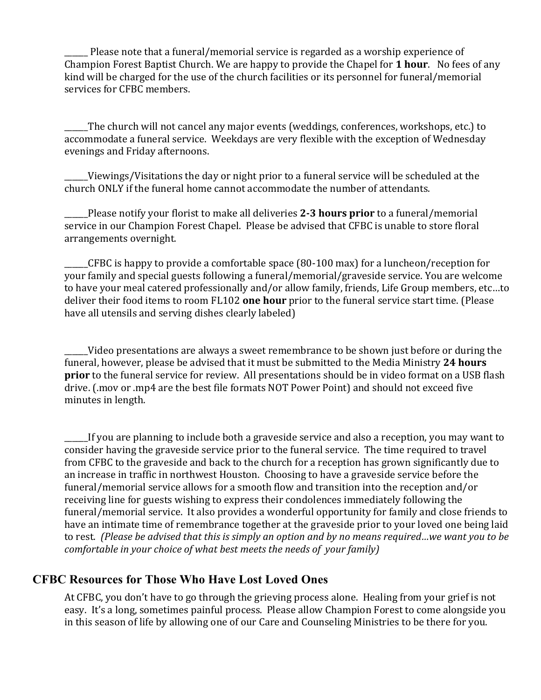Please note that a funeral/memorial service is regarded as a worship experience of Champion Forest Baptist Church. We are happy to provide the Chapel for **1 hour**. No fees of any kind will be charged for the use of the church facilities or its personnel for funeral/memorial services for CFBC members.

\_\_\_\_\_\_The church will not cancel any major events (weddings, conferences, workshops, etc.) to accommodate a funeral service. Weekdays are very flexible with the exception of Wednesday evenings and Friday afternoons.

Viewings/Visitations the day or night prior to a funeral service will be scheduled at the church ONLY if the funeral home cannot accommodate the number of attendants.

\_\_\_\_\_\_Please notify your florist to make all deliveries **2-3 hours prior** to a funeral/memorial service in our Champion Forest Chapel. Please be advised that CFBC is unable to store floral arrangements overnight.

\_\_\_\_\_\_CFBC is happy to provide a comfortable space (80-100 max) for a luncheon/reception for your family and special guests following a funeral/memorial/graveside service. You are welcome to have your meal catered professionally and/or allow family, friends, Life Group members, etc…to deliver their food items to room FL102 **one hour** prior to the funeral service start time. (Please have all utensils and serving dishes clearly labeled)

\_\_\_\_\_\_Video presentations are always a sweet remembrance to be shown just before or during the funeral, however, please be advised that it must be submitted to the Media Ministry **24 hours prior** to the funeral service for review. All presentations should be in video format on a USB flash drive. (.mov or .mp4 are the best file formats NOT Power Point) and should not exceed five minutes in length.

If you are planning to include both a graveside service and also a reception, you may want to consider having the graveside service prior to the funeral service. The time required to travel from CFBC to the graveside and back to the church for a reception has grown significantly due to an increase in traffic in northwest Houston. Choosing to have a graveside service before the funeral/memorial service allows for a smooth flow and transition into the reception and/or receiving line for guests wishing to express their condolences immediately following the funeral/memorial service. It also provides a wonderful opportunity for family and close friends to have an intimate time of remembrance together at the graveside prior to your loved one being laid to rest. (Please be advised that this is simply an option and by no means required...we want you to be *comfortable in your choice of what best meets the needs of your family)*

# **CFBC Resources for Those Who Have Lost Loved Ones**

At CFBC, you don't have to go through the grieving process alone. Healing from your grief is not easy. It's a long, sometimes painful process. Please allow Champion Forest to come alongside you in this season of life by allowing one of our Care and Counseling Ministries to be there for you.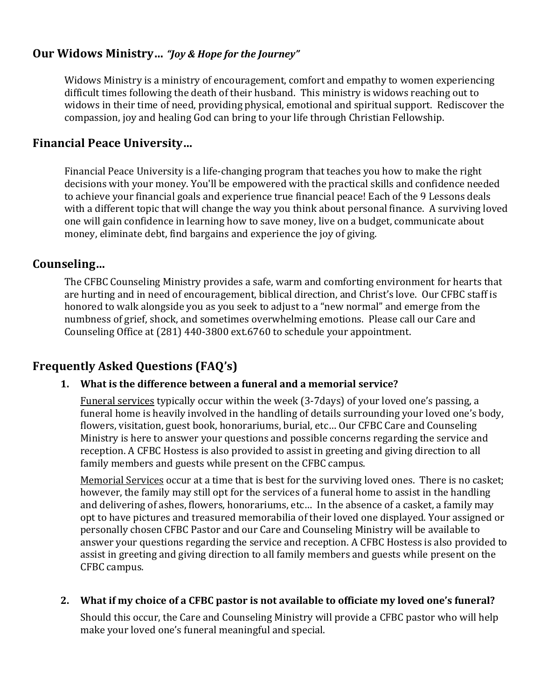# **Our Widows Ministry…** *"Joy & Hope for the Journey"*

Widows Ministry is a ministry of encouragement, comfort and empathy to women experiencing difficult times following the death of their husband. This ministry is widows reaching out to widows in their time of need, providing physical, emotional and spiritual support. Rediscover the compassion, joy and healing God can bring to your life through Christian Fellowship.

# **Financial Peace University…**

Financial Peace University is a life-changing program that teaches you how to make the right decisions with your money. You'll be empowered with the practical skills and confidence needed to achieve your financial goals and experience true financial peace! Each of the 9 Lessons deals with a different topic that will change the way you think about personal finance. A surviving loved one will gain confidence in learning how to save money, live on a budget, communicate about money, eliminate debt, find bargains and experience the joy of giving.

# **Counseling…**

The CFBC Counseling Ministry provides a safe, warm and comforting environment for hearts that are hurting and in need of encouragement, biblical direction, and Christ's love. Our CFBC staff is honored to walk alongside you as you seek to adjust to a "new normal" and emerge from the numbness of grief, shock, and sometimes overwhelming emotions. Please call our Care and Counseling Office at (281) 440-3800 ext.6760 to schedule your appointment.

# **Frequently Asked Questions (FAQ's)**

### **1. What is the difference between a funeral and a memorial service?**

Funeral services typically occur within the week (3-7days) of your loved one's passing, a funeral home is heavily involved in the handling of details surrounding your loved one's body, flowers, visitation, guest book, honorariums, burial, etc… Our CFBC Care and Counseling Ministry is here to answer your questions and possible concerns regarding the service and reception. A CFBC Hostess is also provided to assist in greeting and giving direction to all family members and guests while present on the CFBC campus.

Memorial Services occur at a time that is best for the surviving loved ones. There is no casket; however, the family may still opt for the services of a funeral home to assist in the handling and delivering of ashes, flowers, honorariums, etc... In the absence of a casket, a family may opt to have pictures and treasured memorabilia of their loved one displayed. Your assigned or personally chosen CFBC Pastor and our Care and Counseling Ministry will be available to answer your questions regarding the service and reception. A CFBC Hostess is also provided to assist in greeting and giving direction to all family members and guests while present on the CFBC campus.

### **2. What if my choice of a CFBC pastor is not available to officiate my loved one's funeral?**

Should this occur, the Care and Counseling Ministry will provide a CFBC pastor who will help make your loved one's funeral meaningful and special.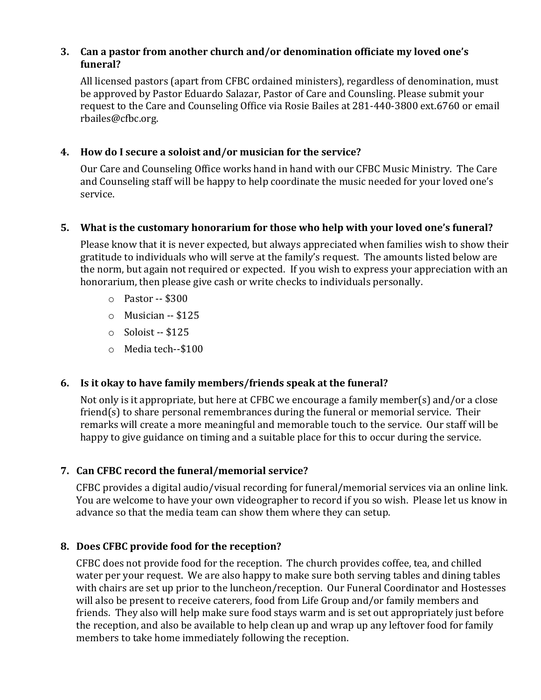### **3. Can a pastor from another church and/or denomination officiate my loved one's funeral?**

All licensed pastors (apart from CFBC ordained ministers), regardless of denomination, must be approved by Pastor Eduardo Salazar, Pastor of Care and Counsling. Please submit your request to the Care and Counseling Office via Rosie Bailes at 281-440-3800 ext.6760 or email rbailes@cfbc.org.

### **4. How do I secure a soloist and/or musician for the service?**

Our Care and Counseling Office works hand in hand with our CFBC Music Ministry. The Care and Counseling staff will be happy to help coordinate the music needed for your loved one's service. 

### **5. What is the customary honorarium for those who help with your loved one's funeral?**

Please know that it is never expected, but always appreciated when families wish to show their gratitude to individuals who will serve at the family's request. The amounts listed below are the norm, but again not required or expected. If you wish to express your appreciation with an honorarium, then please give cash or write checks to individuals personally. 

- o Pastor -- \$300
- o Musician -- \$125
- $\circ$  Soloist -- \$125
- o Media tech--\$100

### **6. Is it okay to have family members/friends speak at the funeral?**

Not only is it appropriate, but here at CFBC we encourage a family member(s) and/or a close friend(s) to share personal remembrances during the funeral or memorial service. Their remarks will create a more meaningful and memorable touch to the service. Our staff will be happy to give guidance on timing and a suitable place for this to occur during the service. 

### **7. Can CFBC record the funeral/memorial service?**

CFBC provides a digital audio/visual recording for funeral/memorial services via an online link. You are welcome to have your own videographer to record if you so wish. Please let us know in advance so that the media team can show them where they can setup. 

### **8. Does CFBC provide food for the reception?**

CFBC does not provide food for the reception. The church provides coffee, tea, and chilled water per your request. We are also happy to make sure both serving tables and dining tables with chairs are set up prior to the luncheon/reception. Our Funeral Coordinator and Hostesses will also be present to receive caterers, food from Life Group and/or family members and friends. They also will help make sure food stays warm and is set out appropriately just before the reception, and also be available to help clean up and wrap up any leftover food for family members to take home immediately following the reception.